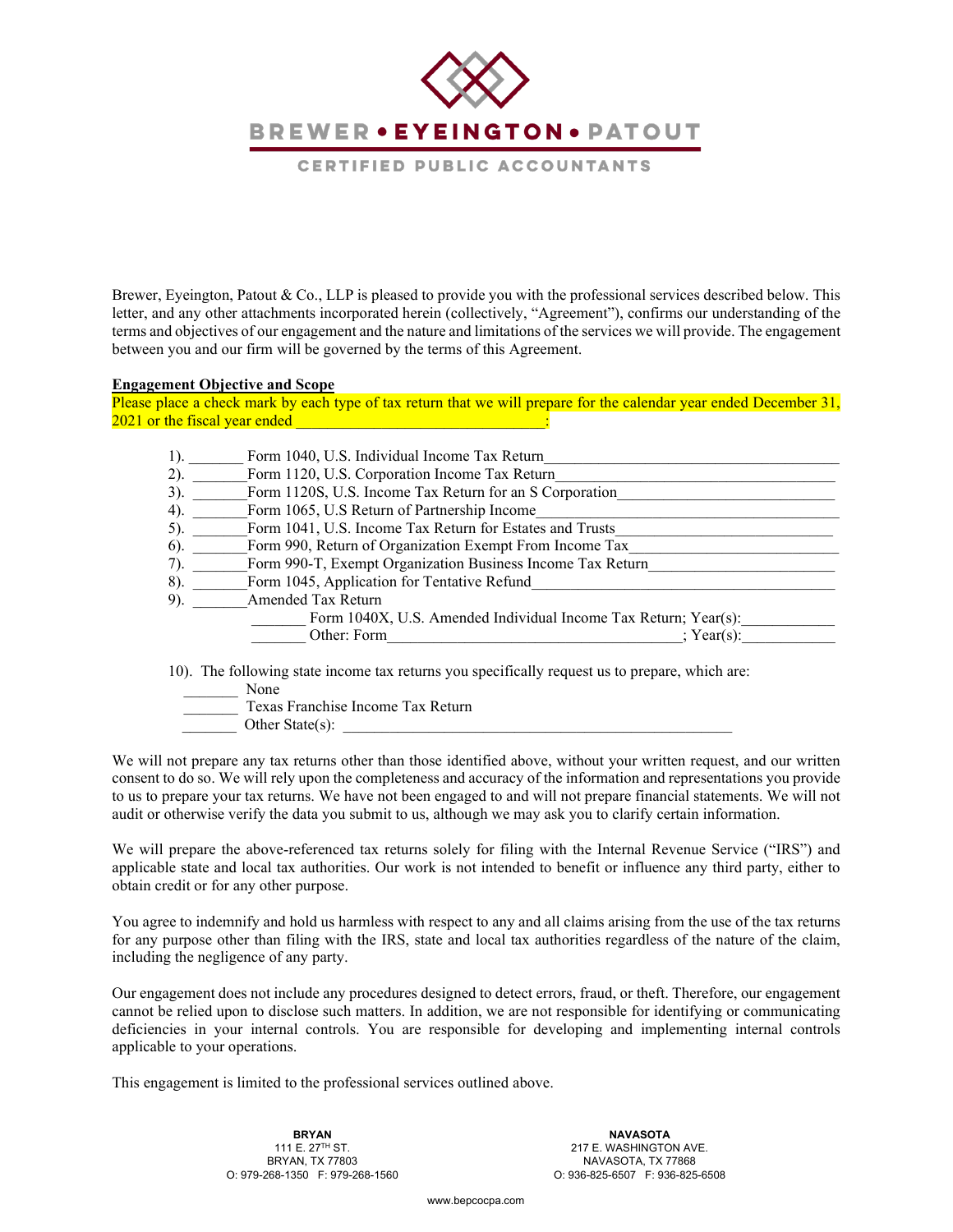**BREWER . EYEINGTON . PATOUT** 

CERTIFIED PUBLIC ACCOUNTANTS

Brewer, Eyeington, Patout & Co., LLP is pleased to provide you with the professional services described below. This letter, and any other attachments incorporated herein (collectively, "Agreement"), confirms our understanding of the terms and objectives of our engagement and the nature and limitations of the services we will provide. The engagement between you and our firm will be governed by the terms of this Agreement.

#### **Engagement Objective and Scope**

Please place a check mark by each type of tax return that we will prepare for the calendar year ended December 31,  $2021$  or the fiscal year ended  $\vdots$ 

|        | Form 1040, U.S. Individual Income Tax Return                    |
|--------|-----------------------------------------------------------------|
| (2).   | Form 1120, U.S. Corporation Income Tax Return                   |
| 3).    | Form 1120S, U.S. Income Tax Return for an S Corporation         |
| 4).    | Form 1065, U.S Return of Partnership Income                     |
| 5).    | Form 1041, U.S. Income Tax Return for Estates and Trusts        |
| $6$ ). | Form 990, Return of Organization Exempt From Income Tax         |
| 7).    | Form 990-T, Exempt Organization Business Income Tax Return      |
| 8).    | Form 1045, Application for Tentative Refund                     |
| 9).    | Amended Tax Return                                              |
|        | Form 1040X, U.S. Amended Individual Income Tax Return; Year(s): |
|        | Other: Form<br>: $Year(s)$ :                                    |

10). The following state income tax returns you specifically request us to prepare, which are:

None

 \_\_\_\_\_\_\_ Texas Franchise Income Tax Return Other State $(s)$ :

We will not prepare any tax returns other than those identified above, without your written request, and our written consent to do so. We will rely upon the completeness and accuracy of the information and representations you provide to us to prepare your tax returns. We have not been engaged to and will not prepare financial statements. We will not audit or otherwise verify the data you submit to us, although we may ask you to clarify certain information.

We will prepare the above-referenced tax returns solely for filing with the Internal Revenue Service ("IRS") and applicable state and local tax authorities. Our work is not intended to benefit or influence any third party, either to obtain credit or for any other purpose.

You agree to indemnify and hold us harmless with respect to any and all claims arising from the use of the tax returns for any purpose other than filing with the IRS, state and local tax authorities regardless of the nature of the claim, including the negligence of any party.

Our engagement does not include any procedures designed to detect errors, fraud, or theft. Therefore, our engagement cannot be relied upon to disclose such matters. In addition, we are not responsible for identifying or communicating deficiencies in your internal controls. You are responsible for developing and implementing internal controls applicable to your operations.

This engagement is limited to the professional services outlined above.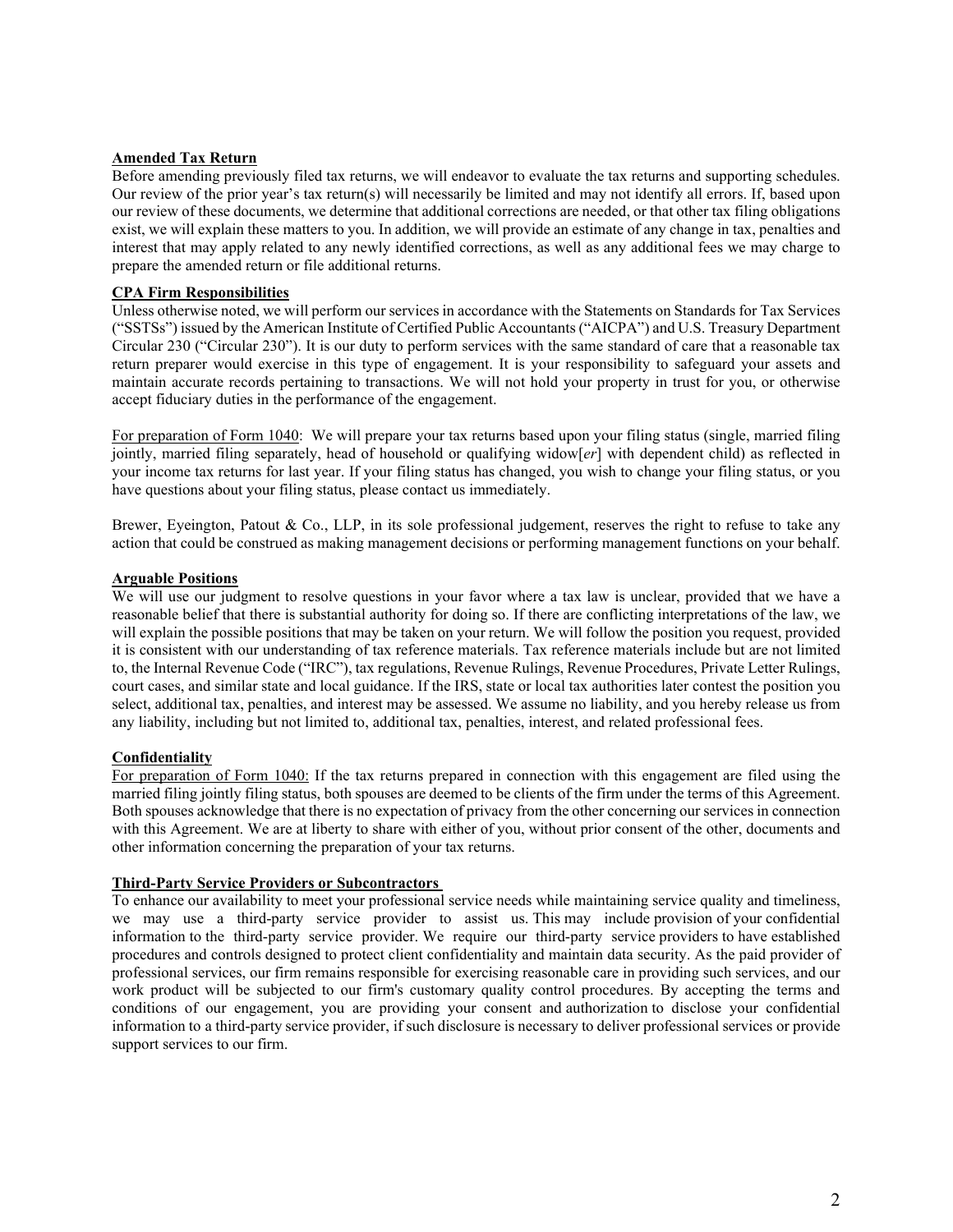#### **Amended Tax Return**

Before amending previously filed tax returns, we will endeavor to evaluate the tax returns and supporting schedules. Our review of the prior year's tax return(s) will necessarily be limited and may not identify all errors. If, based upon our review of these documents, we determine that additional corrections are needed, or that other tax filing obligations exist, we will explain these matters to you. In addition, we will provide an estimate of any change in tax, penalties and interest that may apply related to any newly identified corrections, as well as any additional fees we may charge to prepare the amended return or file additional returns.

#### **CPA Firm Responsibilities**

Unless otherwise noted, we will perform our services in accordance with the Statements on Standards for Tax Services ("SSTSs") issued by the American Institute of Certified Public Accountants ("AICPA") and U.S. Treasury Department Circular 230 ("Circular 230"). It is our duty to perform services with the same standard of care that a reasonable tax return preparer would exercise in this type of engagement. It is your responsibility to safeguard your assets and maintain accurate records pertaining to transactions. We will not hold your property in trust for you, or otherwise accept fiduciary duties in the performance of the engagement.

For preparation of Form 1040: We will prepare your tax returns based upon your filing status (single, married filing jointly, married filing separately, head of household or qualifying widow[*er*] with dependent child) as reflected in your income tax returns for last year. If your filing status has changed, you wish to change your filing status, or you have questions about your filing status, please contact us immediately.

Brewer, Eyeington, Patout & Co., LLP, in its sole professional judgement, reserves the right to refuse to take any action that could be construed as making management decisions or performing management functions on your behalf.

#### **Arguable Positions**

We will use our judgment to resolve questions in your favor where a tax law is unclear, provided that we have a reasonable belief that there is substantial authority for doing so. If there are conflicting interpretations of the law, we will explain the possible positions that may be taken on your return. We will follow the position you request, provided it is consistent with our understanding of tax reference materials. Tax reference materials include but are not limited to, the Internal Revenue Code ("IRC"), tax regulations, Revenue Rulings, Revenue Procedures, Private Letter Rulings, court cases, and similar state and local guidance. If the IRS, state or local tax authorities later contest the position you select, additional tax, penalties, and interest may be assessed. We assume no liability, and you hereby release us from any liability, including but not limited to, additional tax, penalties, interest, and related professional fees.

### **Confidentiality**

For preparation of Form 1040: If the tax returns prepared in connection with this engagement are filed using the married filing jointly filing status, both spouses are deemed to be clients of the firm under the terms of this Agreement. Both spouses acknowledge that there is no expectation of privacy from the other concerning our services in connection with this Agreement. We are at liberty to share with either of you, without prior consent of the other, documents and other information concerning the preparation of your tax returns.

#### **Third-Party Service Providers or Subcontractors**

To enhance our availability to meet your professional service needs while maintaining service quality and timeliness, we may use a third-party service provider to assist us. This may include provision of your confidential information to the third-party service provider. We require our third-party service providers to have established procedures and controls designed to protect client confidentiality and maintain data security. As the paid provider of professional services, our firm remains responsible for exercising reasonable care in providing such services, and our work product will be subjected to our firm's customary quality control procedures. By accepting the terms and conditions of our engagement, you are providing your consent and authorization to disclose your confidential information to a third-party service provider, if such disclosure is necessary to deliver professional services or provide support services to our firm.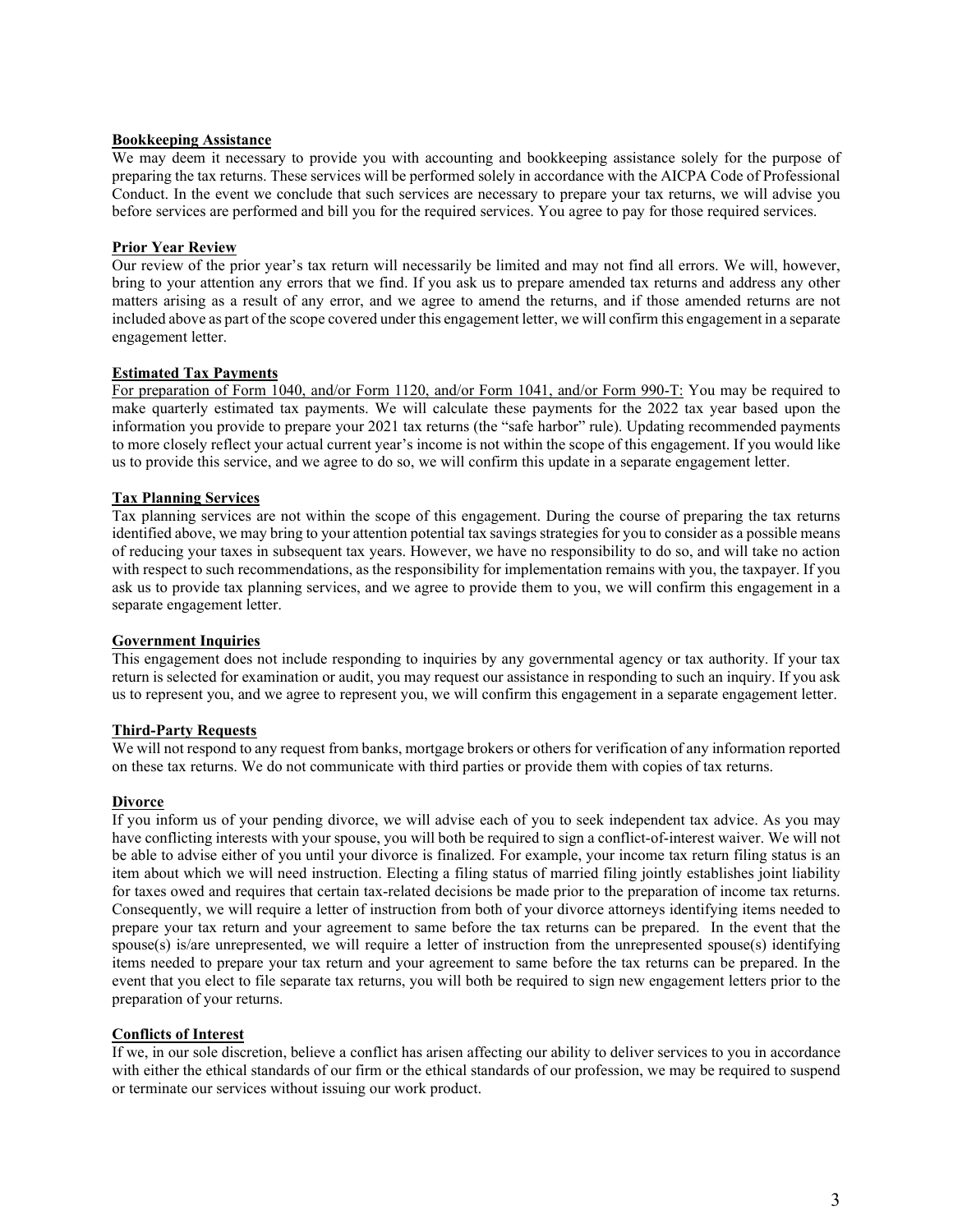#### **Bookkeeping Assistance**

We may deem it necessary to provide you with accounting and bookkeeping assistance solely for the purpose of preparing the tax returns. These services will be performed solely in accordance with the AICPA Code of Professional Conduct. In the event we conclude that such services are necessary to prepare your tax returns, we will advise you before services are performed and bill you for the required services. You agree to pay for those required services.

## **Prior Year Review**

Our review of the prior year's tax return will necessarily be limited and may not find all errors. We will, however, bring to your attention any errors that we find. If you ask us to prepare amended tax returns and address any other matters arising as a result of any error, and we agree to amend the returns, and if those amended returns are not included above as part of the scope covered under this engagement letter, we will confirm this engagement in a separate engagement letter.

### **Estimated Tax Payments**

For preparation of Form 1040, and/or Form 1120, and/or Form 1041, and/or Form 990-T: You may be required to make quarterly estimated tax payments. We will calculate these payments for the 2022 tax year based upon the information you provide to prepare your 2021 tax returns (the "safe harbor" rule). Updating recommended payments to more closely reflect your actual current year's income is not within the scope of this engagement. If you would like us to provide this service, and we agree to do so, we will confirm this update in a separate engagement letter.

## **Tax Planning Services**

Tax planning services are not within the scope of this engagement. During the course of preparing the tax returns identified above, we may bring to your attention potential tax savings strategies for you to consider as a possible means of reducing your taxes in subsequent tax years. However, we have no responsibility to do so, and will take no action with respect to such recommendations, as the responsibility for implementation remains with you, the taxpayer. If you ask us to provide tax planning services, and we agree to provide them to you, we will confirm this engagement in a separate engagement letter.

### **Government Inquiries**

This engagement does not include responding to inquiries by any governmental agency or tax authority. If your tax return is selected for examination or audit, you may request our assistance in responding to such an inquiry. If you ask us to represent you, and we agree to represent you, we will confirm this engagement in a separate engagement letter.

### **Third-Party Requests**

We will not respond to any request from banks, mortgage brokers or others for verification of any information reported on these tax returns. We do not communicate with third parties or provide them with copies of tax returns.

# **Divorce**

If you inform us of your pending divorce, we will advise each of you to seek independent tax advice. As you may have conflicting interests with your spouse, you will both be required to sign a conflict-of-interest waiver. We will not be able to advise either of you until your divorce is finalized. For example, your income tax return filing status is an item about which we will need instruction. Electing a filing status of married filing jointly establishes joint liability for taxes owed and requires that certain tax-related decisions be made prior to the preparation of income tax returns. Consequently, we will require a letter of instruction from both of your divorce attorneys identifying items needed to prepare your tax return and your agreement to same before the tax returns can be prepared. In the event that the spouse(s) is/are unrepresented, we will require a letter of instruction from the unrepresented spouse(s) identifying items needed to prepare your tax return and your agreement to same before the tax returns can be prepared. In the event that you elect to file separate tax returns, you will both be required to sign new engagement letters prior to the preparation of your returns.

### **Conflicts of Interest**

If we, in our sole discretion, believe a conflict has arisen affecting our ability to deliver services to you in accordance with either the ethical standards of our firm or the ethical standards of our profession, we may be required to suspend or terminate our services without issuing our work product.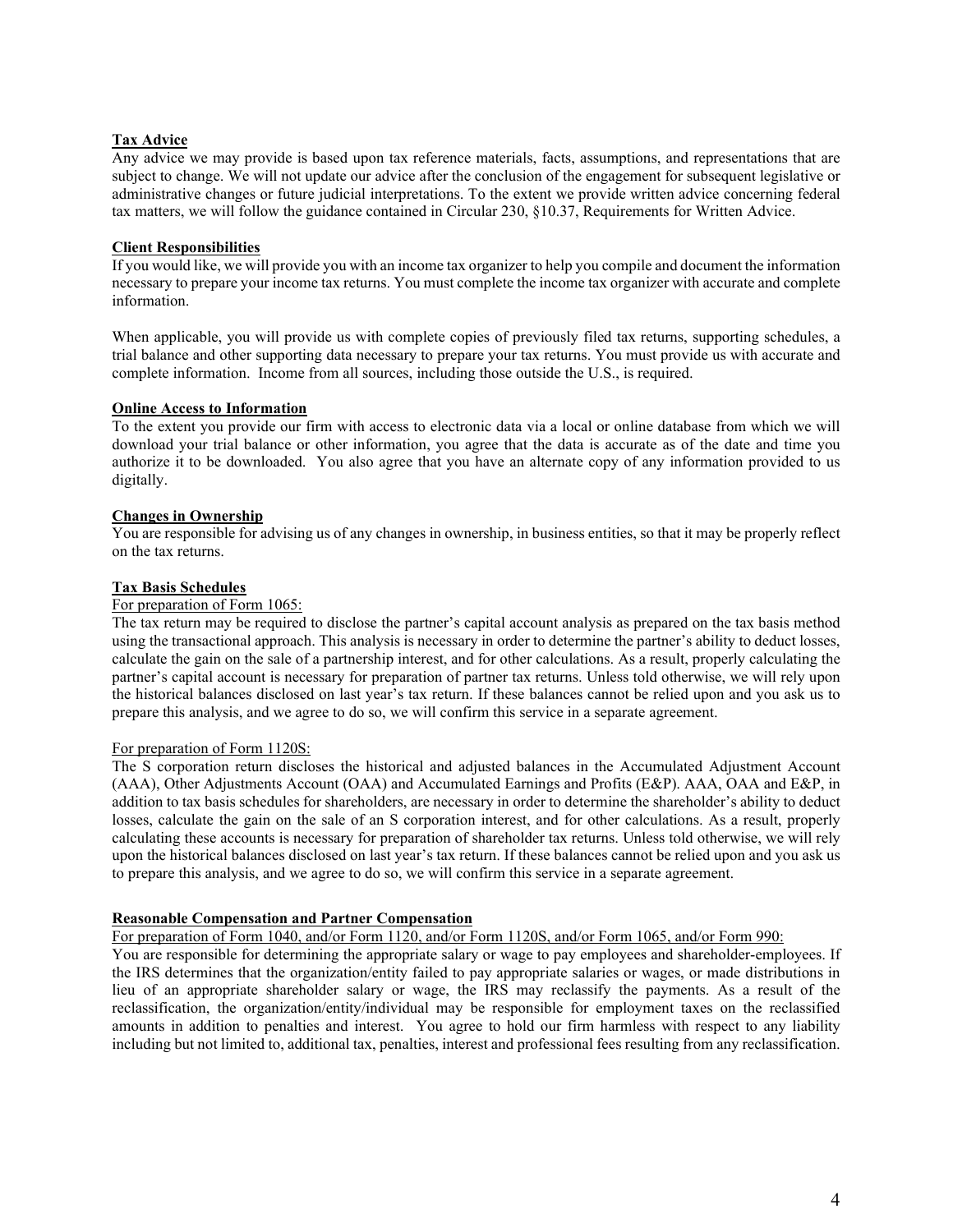### **Tax Advice**

Any advice we may provide is based upon tax reference materials, facts, assumptions, and representations that are subject to change. We will not update our advice after the conclusion of the engagement for subsequent legislative or administrative changes or future judicial interpretations. To the extent we provide written advice concerning federal tax matters, we will follow the guidance contained in Circular 230, §10.37, Requirements for Written Advice.

## **Client Responsibilities**

If you would like, we will provide you with an income tax organizer to help you compile and document the information necessary to prepare your income tax returns. You must complete the income tax organizer with accurate and complete information.

When applicable, you will provide us with complete copies of previously filed tax returns, supporting schedules, a trial balance and other supporting data necessary to prepare your tax returns. You must provide us with accurate and complete information. Income from all sources, including those outside the U.S., is required.

### **Online Access to Information**

To the extent you provide our firm with access to electronic data via a local or online database from which we will download your trial balance or other information, you agree that the data is accurate as of the date and time you authorize it to be downloaded. You also agree that you have an alternate copy of any information provided to us digitally.

## **Changes in Ownership**

You are responsible for advising us of any changes in ownership, in business entities, so that it may be properly reflect on the tax returns.

## **Tax Basis Schedules**

### For preparation of Form 1065:

The tax return may be required to disclose the partner's capital account analysis as prepared on the tax basis method using the transactional approach. This analysis is necessary in order to determine the partner's ability to deduct losses, calculate the gain on the sale of a partnership interest, and for other calculations. As a result, properly calculating the partner's capital account is necessary for preparation of partner tax returns. Unless told otherwise, we will rely upon the historical balances disclosed on last year's tax return. If these balances cannot be relied upon and you ask us to prepare this analysis, and we agree to do so, we will confirm this service in a separate agreement.

### For preparation of Form 1120S:

The S corporation return discloses the historical and adjusted balances in the Accumulated Adjustment Account (AAA), Other Adjustments Account (OAA) and Accumulated Earnings and Profits (E&P). AAA, OAA and E&P, in addition to tax basis schedules for shareholders, are necessary in order to determine the shareholder's ability to deduct losses, calculate the gain on the sale of an S corporation interest, and for other calculations. As a result, properly calculating these accounts is necessary for preparation of shareholder tax returns. Unless told otherwise, we will rely upon the historical balances disclosed on last year's tax return. If these balances cannot be relied upon and you ask us to prepare this analysis, and we agree to do so, we will confirm this service in a separate agreement.

### **Reasonable Compensation and Partner Compensation**

For preparation of Form 1040, and/or Form 1120, and/or Form 1120S, and/or Form 1065, and/or Form 990:

You are responsible for determining the appropriate salary or wage to pay employees and shareholder-employees. If the IRS determines that the organization/entity failed to pay appropriate salaries or wages, or made distributions in lieu of an appropriate shareholder salary or wage, the IRS may reclassify the payments. As a result of the reclassification, the organization/entity/individual may be responsible for employment taxes on the reclassified amounts in addition to penalties and interest. You agree to hold our firm harmless with respect to any liability including but not limited to, additional tax, penalties, interest and professional fees resulting from any reclassification.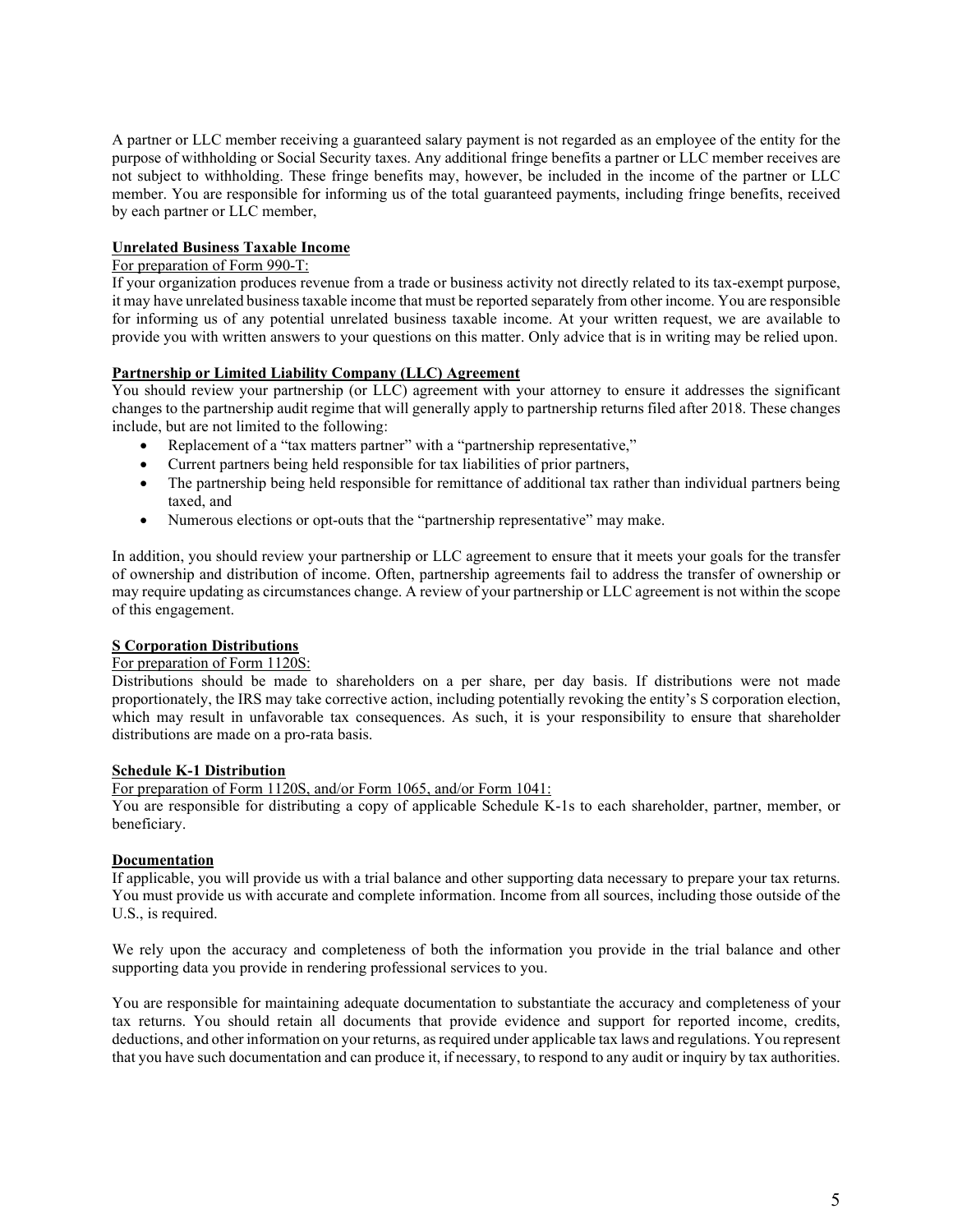A partner or LLC member receiving a guaranteed salary payment is not regarded as an employee of the entity for the purpose of withholding or Social Security taxes. Any additional fringe benefits a partner or LLC member receives are not subject to withholding. These fringe benefits may, however, be included in the income of the partner or LLC member. You are responsible for informing us of the total guaranteed payments, including fringe benefits, received by each partner or LLC member,

## **Unrelated Business Taxable Income**

# For preparation of Form 990-T:

If your organization produces revenue from a trade or business activity not directly related to its tax-exempt purpose, it may have unrelated business taxable income that must be reported separately from other income. You are responsible for informing us of any potential unrelated business taxable income. At your written request, we are available to provide you with written answers to your questions on this matter. Only advice that is in writing may be relied upon.

#### **Partnership or Limited Liability Company (LLC) Agreement**

You should review your partnership (or LLC) agreement with your attorney to ensure it addresses the significant changes to the partnership audit regime that will generally apply to partnership returns filed after 2018. These changes include, but are not limited to the following:

- Replacement of a "tax matters partner" with a "partnership representative,"
- Current partners being held responsible for tax liabilities of prior partners,
- The partnership being held responsible for remittance of additional tax rather than individual partners being taxed, and
- Numerous elections or opt-outs that the "partnership representative" may make.

In addition, you should review your partnership or LLC agreement to ensure that it meets your goals for the transfer of ownership and distribution of income. Often, partnership agreements fail to address the transfer of ownership or may require updating as circumstances change. A review of your partnership or LLC agreement is not within the scope of this engagement.

### **S Corporation Distributions**

### For preparation of Form 1120S:

Distributions should be made to shareholders on a per share, per day basis. If distributions were not made proportionately, the IRS may take corrective action, including potentially revoking the entity's S corporation election, which may result in unfavorable tax consequences. As such, it is your responsibility to ensure that shareholder distributions are made on a pro-rata basis.

### **Schedule K-1 Distribution**

For preparation of Form 1120S, and/or Form 1065, and/or Form 1041:

You are responsible for distributing a copy of applicable Schedule K-1s to each shareholder, partner, member, or beneficiary.

### **Documentation**

If applicable, you will provide us with a trial balance and other supporting data necessary to prepare your tax returns. You must provide us with accurate and complete information. Income from all sources, including those outside of the U.S., is required.

We rely upon the accuracy and completeness of both the information you provide in the trial balance and other supporting data you provide in rendering professional services to you.

You are responsible for maintaining adequate documentation to substantiate the accuracy and completeness of your tax returns. You should retain all documents that provide evidence and support for reported income, credits, deductions, and other information on your returns, as required under applicable tax laws and regulations. You represent that you have such documentation and can produce it, if necessary, to respond to any audit or inquiry by tax authorities.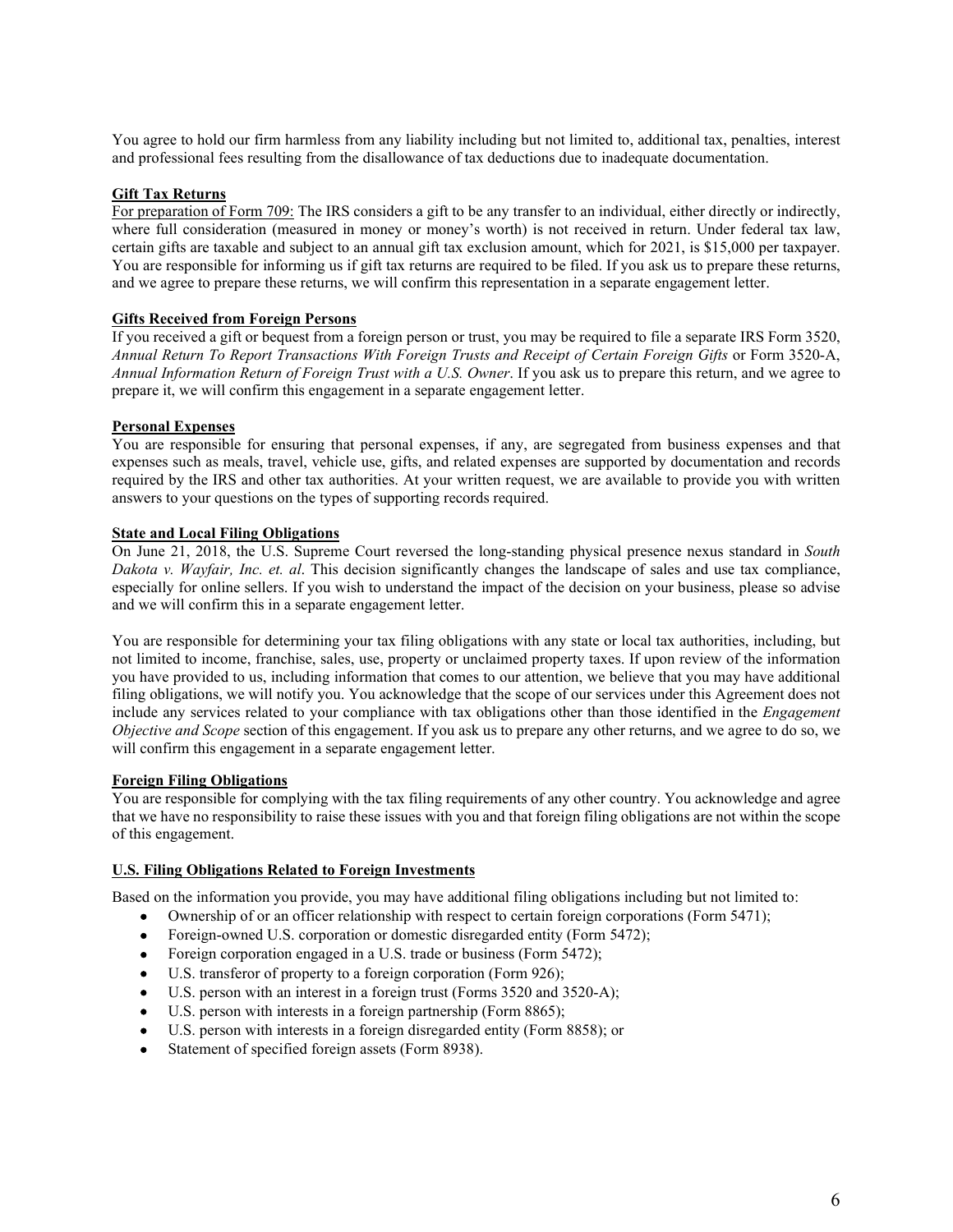You agree to hold our firm harmless from any liability including but not limited to, additional tax, penalties, interest and professional fees resulting from the disallowance of tax deductions due to inadequate documentation.

## **Gift Tax Returns**

For preparation of Form 709: The IRS considers a gift to be any transfer to an individual, either directly or indirectly, where full consideration (measured in money or money's worth) is not received in return. Under federal tax law, certain gifts are taxable and subject to an annual gift tax exclusion amount, which for 2021, is \$15,000 per taxpayer. You are responsible for informing us if gift tax returns are required to be filed. If you ask us to prepare these returns, and we agree to prepare these returns, we will confirm this representation in a separate engagement letter.

### **Gifts Received from Foreign Persons**

If you received a gift or bequest from a foreign person or trust, you may be required to file a separate IRS Form 3520, *Annual Return To Report Transactions With Foreign Trusts and Receipt of Certain Foreign Gifts* or Form 3520-A, *Annual Information Return of Foreign Trust with a U.S. Owner*. If you ask us to prepare this return, and we agree to prepare it, we will confirm this engagement in a separate engagement letter.

### **Personal Expenses**

You are responsible for ensuring that personal expenses, if any, are segregated from business expenses and that expenses such as meals, travel, vehicle use, gifts, and related expenses are supported by documentation and records required by the IRS and other tax authorities. At your written request, we are available to provide you with written answers to your questions on the types of supporting records required.

#### **State and Local Filing Obligations**

On June 21, 2018, the U.S. Supreme Court reversed the long-standing physical presence nexus standard in *South Dakota v. Wayfair, Inc. et. al*. This decision significantly changes the landscape of sales and use tax compliance, especially for online sellers. If you wish to understand the impact of the decision on your business, please so advise and we will confirm this in a separate engagement letter.

You are responsible for determining your tax filing obligations with any state or local tax authorities, including, but not limited to income, franchise, sales, use, property or unclaimed property taxes. If upon review of the information you have provided to us, including information that comes to our attention, we believe that you may have additional filing obligations, we will notify you. You acknowledge that the scope of our services under this Agreement does not include any services related to your compliance with tax obligations other than those identified in the *Engagement Objective and Scope* section of this engagement. If you ask us to prepare any other returns, and we agree to do so, we will confirm this engagement in a separate engagement letter.

#### **Foreign Filing Obligations**

You are responsible for complying with the tax filing requirements of any other country. You acknowledge and agree that we have no responsibility to raise these issues with you and that foreign filing obligations are not within the scope of this engagement.

#### **U.S. Filing Obligations Related to Foreign Investments**

Based on the information you provide, you may have additional filing obligations including but not limited to:

- Ownership of or an officer relationship with respect to certain foreign corporations (Form 5471);
- Foreign-owned U.S. corporation or domestic disregarded entity (Form 5472);
- Foreign corporation engaged in a U.S. trade or business (Form 5472);
- U.S. transferor of property to a foreign corporation (Form 926);
- U.S. person with an interest in a foreign trust (Forms 3520 and 3520-A);
- U.S. person with interests in a foreign partnership (Form 8865);
- U.S. person with interests in a foreign disregarded entity (Form 8858); or
- Statement of specified foreign assets (Form 8938).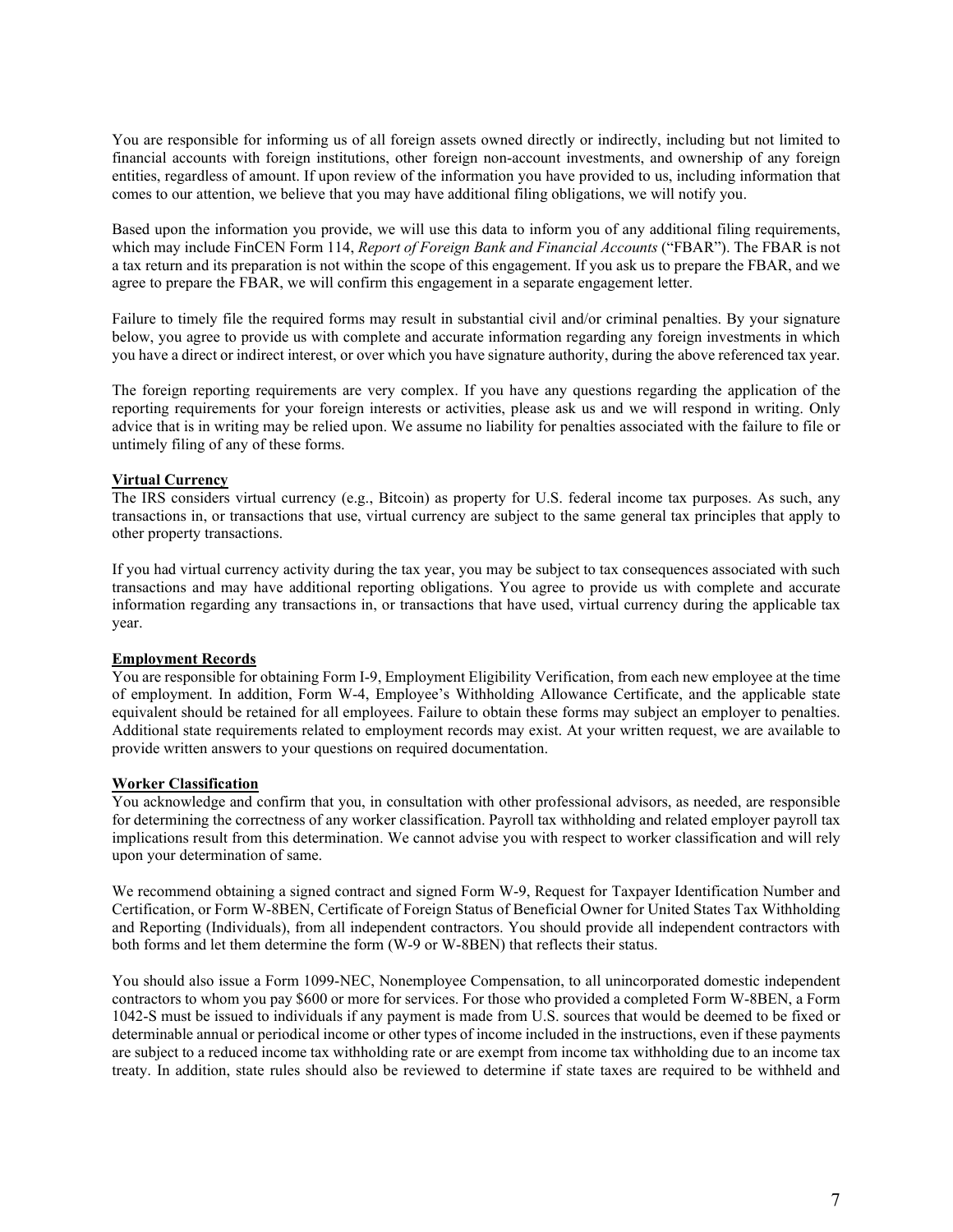You are responsible for informing us of all foreign assets owned directly or indirectly, including but not limited to financial accounts with foreign institutions, other foreign non-account investments, and ownership of any foreign entities, regardless of amount. If upon review of the information you have provided to us, including information that comes to our attention, we believe that you may have additional filing obligations, we will notify you.

Based upon the information you provide, we will use this data to inform you of any additional filing requirements, which may include FinCEN Form 114, *Report of Foreign Bank and Financial Accounts* ("FBAR"). The FBAR is not a tax return and its preparation is not within the scope of this engagement. If you ask us to prepare the FBAR, and we agree to prepare the FBAR, we will confirm this engagement in a separate engagement letter.

Failure to timely file the required forms may result in substantial civil and/or criminal penalties. By your signature below, you agree to provide us with complete and accurate information regarding any foreign investments in which you have a direct or indirect interest, or over which you have signature authority, during the above referenced tax year.

The foreign reporting requirements are very complex. If you have any questions regarding the application of the reporting requirements for your foreign interests or activities, please ask us and we will respond in writing. Only advice that is in writing may be relied upon. We assume no liability for penalties associated with the failure to file or untimely filing of any of these forms.

### **Virtual Currency**

The IRS considers virtual currency (e.g., Bitcoin) as property for U.S. federal income tax purposes. As such, any transactions in, or transactions that use, virtual currency are subject to the same general tax principles that apply to other property transactions.

If you had virtual currency activity during the tax year, you may be subject to tax consequences associated with such transactions and may have additional reporting obligations. You agree to provide us with complete and accurate information regarding any transactions in, or transactions that have used, virtual currency during the applicable tax year.

## **Employment Records**

You are responsible for obtaining Form I-9, Employment Eligibility Verification, from each new employee at the time of employment. In addition, Form W-4, Employee's Withholding Allowance Certificate, and the applicable state equivalent should be retained for all employees. Failure to obtain these forms may subject an employer to penalties. Additional state requirements related to employment records may exist. At your written request, we are available to provide written answers to your questions on required documentation.

### **Worker Classification**

You acknowledge and confirm that you, in consultation with other professional advisors, as needed, are responsible for determining the correctness of any worker classification. Payroll tax withholding and related employer payroll tax implications result from this determination. We cannot advise you with respect to worker classification and will rely upon your determination of same.

We recommend obtaining a signed contract and signed Form W-9, Request for Taxpayer Identification Number and Certification, or Form W-8BEN, Certificate of Foreign Status of Beneficial Owner for United States Tax Withholding and Reporting (Individuals), from all independent contractors. You should provide all independent contractors with both forms and let them determine the form (W-9 or W-8BEN) that reflects their status.

You should also issue a Form 1099-NEC, Nonemployee Compensation, to all unincorporated domestic independent contractors to whom you pay \$600 or more for services. For those who provided a completed Form W-8BEN, a Form 1042-S must be issued to individuals if any payment is made from U.S. sources that would be deemed to be fixed or determinable annual or periodical income or other types of income included in the instructions, even if these payments are subject to a reduced income tax withholding rate or are exempt from income tax withholding due to an income tax treaty. In addition, state rules should also be reviewed to determine if state taxes are required to be withheld and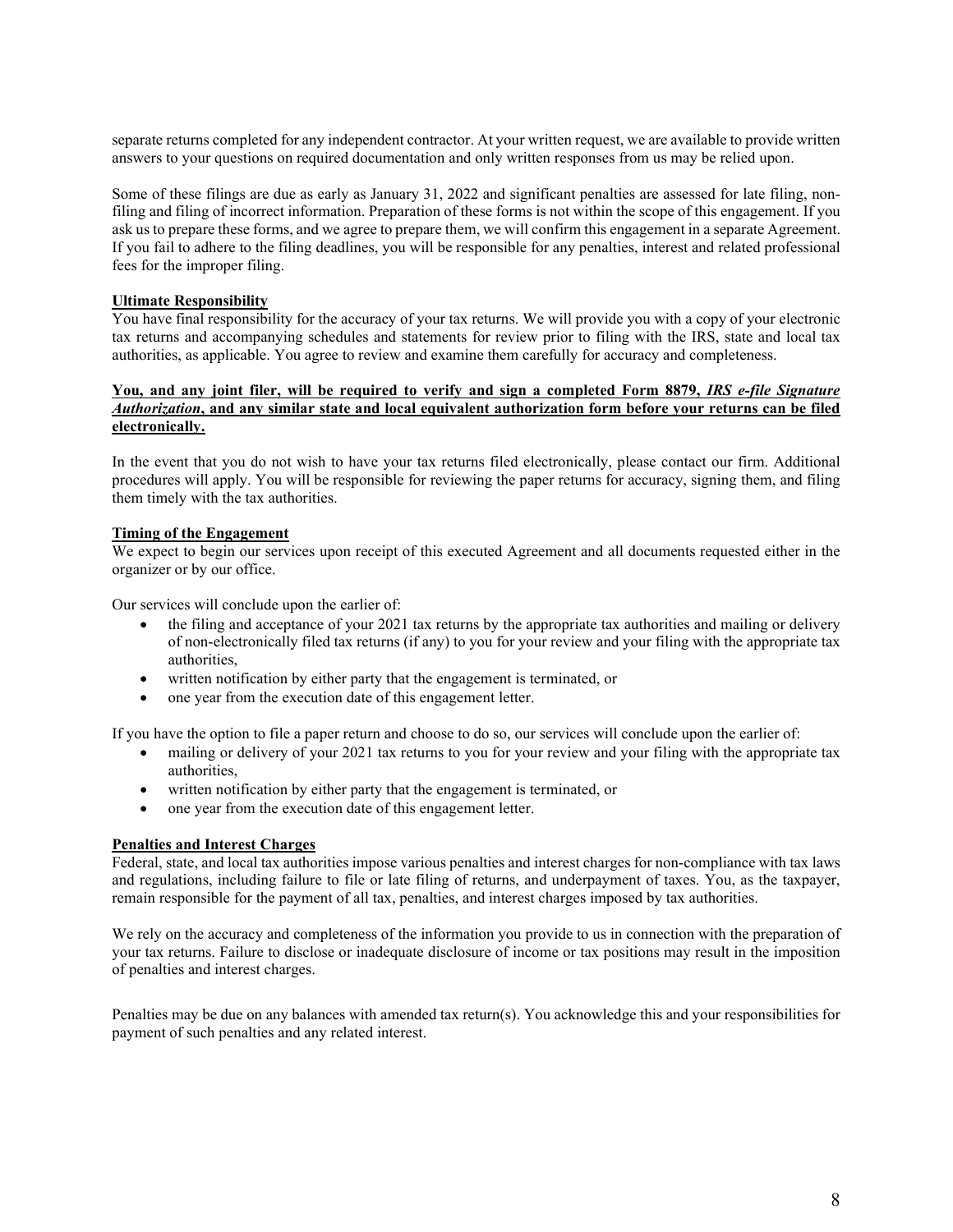separate returns completed for any independent contractor. At your written request, we are available to provide written answers to your questions on required documentation and only written responses from us may be relied upon.

Some of these filings are due as early as January 31, 2022 and significant penalties are assessed for late filing, nonfiling and filing of incorrect information. Preparation of these forms is not within the scope of this engagement. If you ask us to prepare these forms, and we agree to prepare them, we will confirm this engagement in a separate Agreement. If you fail to adhere to the filing deadlines, you will be responsible for any penalties, interest and related professional fees for the improper filing.

### **Ultimate Responsibility**

You have final responsibility for the accuracy of your tax returns. We will provide you with a copy of your electronic tax returns and accompanying schedules and statements for review prior to filing with the IRS, state and local tax authorities, as applicable. You agree to review and examine them carefully for accuracy and completeness.

#### **You, and any joint filer, will be required to verify and sign a completed Form 8879,** *IRS e-file Signature Authorization***, and any similar state and local equivalent authorization form before your returns can be filed electronically.**

In the event that you do not wish to have your tax returns filed electronically, please contact our firm. Additional procedures will apply. You will be responsible for reviewing the paper returns for accuracy, signing them, and filing them timely with the tax authorities.

## **Timing of the Engagement**

We expect to begin our services upon receipt of this executed Agreement and all documents requested either in the organizer or by our office.

Our services will conclude upon the earlier of:

- the filing and acceptance of your 2021 tax returns by the appropriate tax authorities and mailing or delivery of non-electronically filed tax returns (if any) to you for your review and your filing with the appropriate tax authorities,
- written notification by either party that the engagement is terminated, or
- one year from the execution date of this engagement letter.

If you have the option to file a paper return and choose to do so, our services will conclude upon the earlier of:

- mailing or delivery of your 2021 tax returns to you for your review and your filing with the appropriate tax authorities,
- written notification by either party that the engagement is terminated, or
- one year from the execution date of this engagement letter.

#### **Penalties and Interest Charges**

Federal, state, and local tax authorities impose various penalties and interest charges for non-compliance with tax laws and regulations, including failure to file or late filing of returns, and underpayment of taxes. You, as the taxpayer, remain responsible for the payment of all tax, penalties, and interest charges imposed by tax authorities.

We rely on the accuracy and completeness of the information you provide to us in connection with the preparation of your tax returns. Failure to disclose or inadequate disclosure of income or tax positions may result in the imposition of penalties and interest charges.

Penalties may be due on any balances with amended tax return(s). You acknowledge this and your responsibilities for payment of such penalties and any related interest.